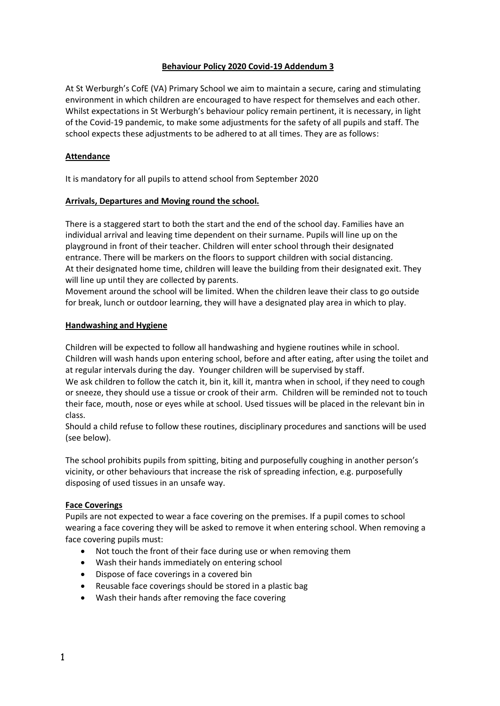# **Behaviour Policy 2020 Covid-19 Addendum 3**

At St Werburgh's CofE (VA) Primary School we aim to maintain a secure, caring and stimulating environment in which children are encouraged to have respect for themselves and each other. Whilst expectations in St Werburgh's behaviour policy remain pertinent, it is necessary, in light of the Covid-19 pandemic, to make some adjustments for the safety of all pupils and staff. The school expects these adjustments to be adhered to at all times. They are as follows:

# **Attendance**

It is mandatory for all pupils to attend school from September 2020

# **Arrivals, Departures and Moving round the school.**

There is a staggered start to both the start and the end of the school day. Families have an individual arrival and leaving time dependent on their surname. Pupils will line up on the playground in front of their teacher. Children will enter school through their designated entrance. There will be markers on the floors to support children with social distancing. At their designated home time, children will leave the building from their designated exit. They will line up until they are collected by parents.

Movement around the school will be limited. When the children leave their class to go outside for break, lunch or outdoor learning, they will have a designated play area in which to play.

# **Handwashing and Hygiene**

Children will be expected to follow all handwashing and hygiene routines while in school. Children will wash hands upon entering school, before and after eating, after using the toilet and at regular intervals during the day. Younger children will be supervised by staff.

We ask children to follow the catch it, bin it, kill it, mantra when in school, if they need to cough or sneeze, they should use a tissue or crook of their arm. Children will be reminded not to touch their face, mouth, nose or eyes while at school. Used tissues will be placed in the relevant bin in class.

Should a child refuse to follow these routines, disciplinary procedures and sanctions will be used (see below).

The school prohibits pupils from spitting, biting and purposefully coughing in another person's vicinity, or other behaviours that increase the risk of spreading infection, e.g. purposefully disposing of used tissues in an unsafe way.

## **Face Coverings**

Pupils are not expected to wear a face covering on the premises. If a pupil comes to school wearing a face covering they will be asked to remove it when entering school. When removing a face covering pupils must:

- Not touch the front of their face during use or when removing them
- Wash their hands immediately on entering school
- Dispose of face coverings in a covered bin
- Reusable face coverings should be stored in a plastic bag
- Wash their hands after removing the face covering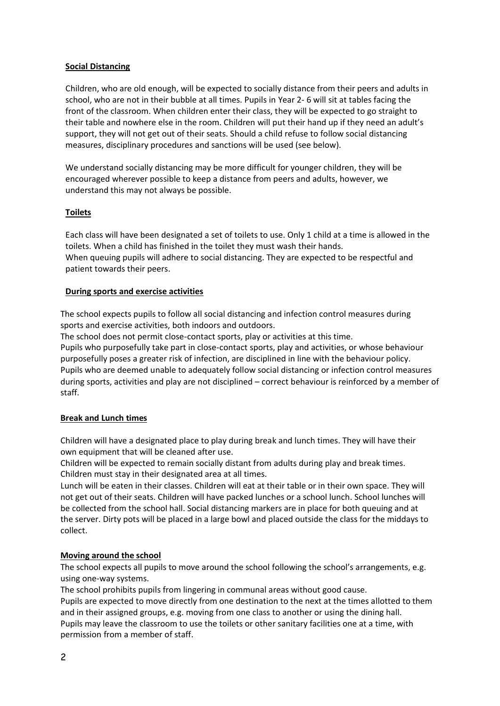# **Social Distancing**

Children, who are old enough, will be expected to socially distance from their peers and adults in school, who are not in their bubble at all times. Pupils in Year 2- 6 will sit at tables facing the front of the classroom. When children enter their class, they will be expected to go straight to their table and nowhere else in the room. Children will put their hand up if they need an adult's support, they will not get out of their seats. Should a child refuse to follow social distancing measures, disciplinary procedures and sanctions will be used (see below).

We understand socially distancing may be more difficult for younger children, they will be encouraged wherever possible to keep a distance from peers and adults, however, we understand this may not always be possible.

# **Toilets**

Each class will have been designated a set of toilets to use. Only 1 child at a time is allowed in the toilets. When a child has finished in the toilet they must wash their hands. When queuing pupils will adhere to social distancing. They are expected to be respectful and patient towards their peers.

# **During sports and exercise activities**

The school expects pupils to follow all social distancing and infection control measures during sports and exercise activities, both indoors and outdoors.

The school does not permit close-contact sports, play or activities at this time. Pupils who purposefully take part in close-contact sports, play and activities, or whose behaviour purposefully poses a greater risk of infection, are disciplined in line with the behaviour policy. Pupils who are deemed unable to adequately follow social distancing or infection control measures during sports, activities and play are not disciplined – correct behaviour is reinforced by a member of staff.

# **Break and Lunch times**

Children will have a designated place to play during break and lunch times. They will have their own equipment that will be cleaned after use.

Children will be expected to remain socially distant from adults during play and break times. Children must stay in their designated area at all times.

Lunch will be eaten in their classes. Children will eat at their table or in their own space. They will not get out of their seats. Children will have packed lunches or a school lunch. School lunches will be collected from the school hall. Social distancing markers are in place for both queuing and at the server. Dirty pots will be placed in a large bowl and placed outside the class for the middays to collect.

# **Moving around the school**

The school expects all pupils to move around the school following the school's arrangements, e.g. using one-way systems.

The school prohibits pupils from lingering in communal areas without good cause.

Pupils are expected to move directly from one destination to the next at the times allotted to them and in their assigned groups, e.g. moving from one class to another or using the dining hall. Pupils may leave the classroom to use the toilets or other sanitary facilities one at a time, with permission from a member of staff.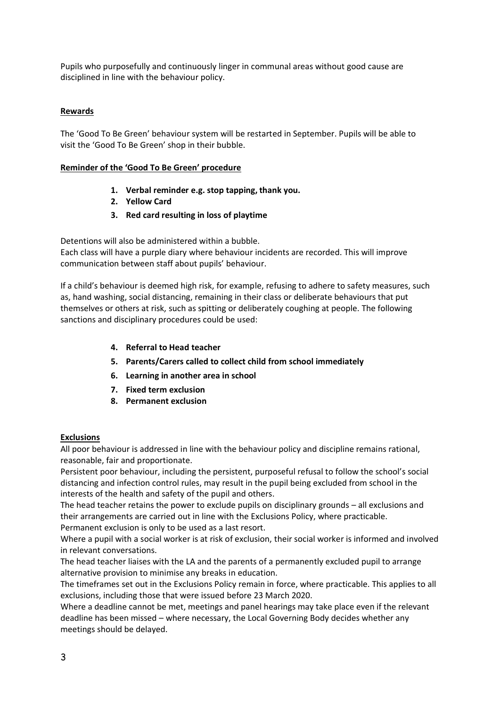Pupils who purposefully and continuously linger in communal areas without good cause are disciplined in line with the behaviour policy.

# **Rewards**

The 'Good To Be Green' behaviour system will be restarted in September. Pupils will be able to visit the 'Good To Be Green' shop in their bubble.

## **Reminder of the 'Good To Be Green' procedure**

- **1. Verbal reminder e.g. stop tapping, thank you.**
- **2. Yellow Card**
- **3. Red card resulting in loss of playtime**

Detentions will also be administered within a bubble.

Each class will have a purple diary where behaviour incidents are recorded. This will improve communication between staff about pupils' behaviour.

If a child's behaviour is deemed high risk, for example, refusing to adhere to safety measures, such as, hand washing, social distancing, remaining in their class or deliberate behaviours that put themselves or others at risk, such as spitting or deliberately coughing at people. The following sanctions and disciplinary procedures could be used:

- **4. Referral to Head teacher**
- **5. Parents/Carers called to collect child from school immediately**
- **6. Learning in another area in school**
- **7. Fixed term exclusion**
- **8. Permanent exclusion**

## **Exclusions**

All poor behaviour is addressed in line with the behaviour policy and discipline remains rational, reasonable, fair and proportionate.

Persistent poor behaviour, including the persistent, purposeful refusal to follow the school's social distancing and infection control rules, may result in the pupil being excluded from school in the interests of the health and safety of the pupil and others.

The head teacher retains the power to exclude pupils on disciplinary grounds – all exclusions and their arrangements are carried out in line with the Exclusions Policy, where practicable. Permanent exclusion is only to be used as a last resort.

Where a pupil with a social worker is at risk of exclusion, their social worker is informed and involved in relevant conversations.

The head teacher liaises with the LA and the parents of a permanently excluded pupil to arrange alternative provision to minimise any breaks in education.

The timeframes set out in the Exclusions Policy remain in force, where practicable. This applies to all exclusions, including those that were issued before 23 March 2020.

Where a deadline cannot be met, meetings and panel hearings may take place even if the relevant deadline has been missed – where necessary, the Local Governing Body decides whether any meetings should be delayed.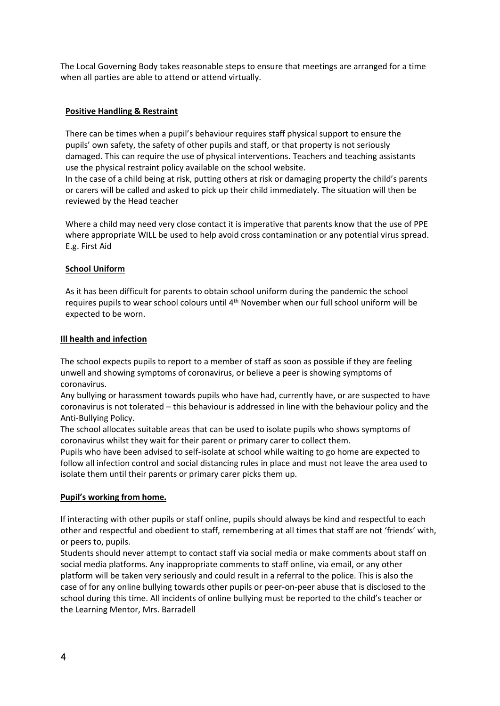The Local Governing Body takes reasonable steps to ensure that meetings are arranged for a time when all parties are able to attend or attend virtually.

## **Positive Handling & Restraint**

There can be times when a pupil's behaviour requires staff physical support to ensure the pupils' own safety, the safety of other pupils and staff, or that property is not seriously damaged. This can require the use of physical interventions. Teachers and teaching assistants use the physical restraint policy available on the school website.

In the case of a child being at risk, putting others at risk or damaging property the child's parents or carers will be called and asked to pick up their child immediately. The situation will then be reviewed by the Head teacher

Where a child may need very close contact it is imperative that parents know that the use of PPE where appropriate WILL be used to help avoid cross contamination or any potential virus spread. E.g. First Aid

# **School Uniform**

As it has been difficult for parents to obtain school uniform during the pandemic the school requires pupils to wear school colours until 4th November when our full school uniform will be expected to be worn.

# **Ill health and infection**

The school expects pupils to report to a member of staff as soon as possible if they are feeling unwell and showing symptoms of coronavirus, or believe a peer is showing symptoms of coronavirus.

Any bullying or harassment towards pupils who have had, currently have, or are suspected to have coronavirus is not tolerated – this behaviour is addressed in line with the behaviour policy and the Anti-Bullying Policy.

The school allocates suitable areas that can be used to isolate pupils who shows symptoms of coronavirus whilst they wait for their parent or primary carer to collect them.

Pupils who have been advised to self-isolate at school while waiting to go home are expected to follow all infection control and social distancing rules in place and must not leave the area used to isolate them until their parents or primary carer picks them up.

## **Pupil's working from home.**

If interacting with other pupils or staff online, pupils should always be kind and respectful to each other and respectful and obedient to staff, remembering at all times that staff are not 'friends' with, or peers to, pupils.

Students should never attempt to contact staff via social media or make comments about staff on social media platforms. Any inappropriate comments to staff online, via email, or any other platform will be taken very seriously and could result in a referral to the police. This is also the case of for any online bullying towards other pupils or peer-on-peer abuse that is disclosed to the school during this time. All incidents of online bullying must be reported to the child's teacher or the Learning Mentor, Mrs. Barradell